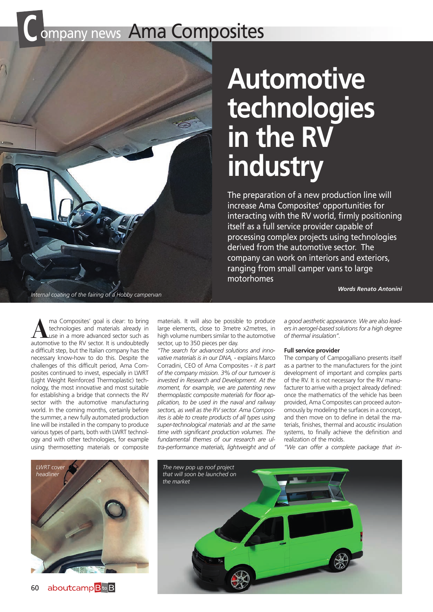## **COMPANY NEWS AMA COMPOSITES**



# **Automotive technologies in the RV industry**

The preparation of a new production line will increase Ama Composites' opportunities for interacting with the RV world, firmly positioning itself as a full service provider capable of processing complex projects using technologies derived from the automotive sector. The company can work on interiors and exteriors, ranging from small camper vans to large motorhomes

*Words Renato Antonini*

**A**ma Composites' goal is clear: to bring technologies and materials already in use in a more advanced sector such as automotive to the RV sector. It is undoubtedly a difficult step, but the Italian company has the necessary know-how to do this. Despite the challenges of this difficult period, Ama Composites continued to invest, especially in LWRT (Light Weight Reinforced Thermoplastic) technology, the most innovative and most suitable for establishing a bridge that connects the RV sector with the automotive manufacturing world. In the coming months, certainly before the summer, a new fully automated production line will be installed in the company to produce various types of parts, both with LWRT technology and with other technologies, for example using thermosetting materials or composite

materials. It will also be possible to produce large elements, close to 3metre x2metres, in high volume numbers similar to the automotive sector, up to 350 pieces per day.

*"The search for advanced solutions and innovative materials is in our DNA,* - explains Marco Corradini, CEO of Ama Composites - *it is part of the company mission. 3% of our turnover is invested in Research and Development. At the moment, for example, we are patenting new thermoplastic composite materials for floor application, to be used in the naval and railway sectors, as well as the RV sector. Ama Composites is able to create products of all types using super-technological materials and at the same time with significant production volumes. The fundamental themes of our research are ultra-performance materials, lightweight and of* 

*a good aesthetic appearance. We are also leaders in aerogel-based solutions for a high degree of thermal insulation".*

#### **Full service provider**

The company of Campogalliano presents itself as a partner to the manufacturers for the joint development of important and complex parts of the RV. It is not necessary for the RV manufacturer to arrive with a project already defined: once the mathematics of the vehicle has been provided, Ama Composites can proceed autonomously by modeling the surfaces in a concept, and then move on to define in detail the materials, finishes, thermal and acoustic insulation systems, to finally achieve the definition and realization of the molds.

*"We can offer a complete package that in-*